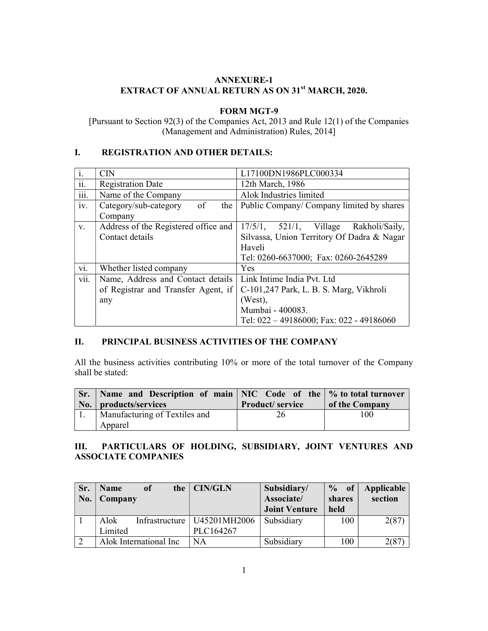#### ANNEXURE-1 EXTRACT OF ANNUAL RETURN AS ON 31<sup>st</sup> MARCH, 2020.

#### FORM MGT-9

[Pursuant to Section 92(3) of the Companies Act, 2013 and Rule 12(1) of the Companies (Management and Administration) Rules, 2014]

#### I. REGISTRATION AND OTHER DETAILS:

| $\overline{\mathbf{i}}$ . | <b>CIN</b>                           | L17100DN1986PLC000334                          |  |  |  |  |
|---------------------------|--------------------------------------|------------------------------------------------|--|--|--|--|
| ii.                       | <b>Registration Date</b>             | 12th March, 1986                               |  |  |  |  |
| iii.                      | Name of the Company                  | Alok Industries limited                        |  |  |  |  |
| iv.                       | Category/sub-category<br>of<br>the   | Public Company/ Company limited by shares      |  |  |  |  |
|                           | Company                              |                                                |  |  |  |  |
| V.                        | Address of the Registered office and | 17/5/1,<br>$521/1$ , Village<br>Rakholi/Saily, |  |  |  |  |
|                           | Contact details                      | Silvassa, Union Territory Of Dadra & Nagar     |  |  |  |  |
|                           |                                      | Haveli                                         |  |  |  |  |
|                           |                                      | Tel: 0260-6637000; Fax: 0260-2645289           |  |  |  |  |
| vi.                       | Whether listed company               | Yes                                            |  |  |  |  |
| vii.                      | Name, Address and Contact details    | Link Intime India Pvt. Ltd                     |  |  |  |  |
|                           | of Registrar and Transfer Agent, if  | C-101,247 Park, L. B. S. Marg, Vikhroli        |  |  |  |  |
|                           | any                                  | (West),                                        |  |  |  |  |
|                           |                                      | Mumbai - 400083.                               |  |  |  |  |
|                           |                                      | Tel: $022 - 49186000$ ; Fax: 022 - 49186060    |  |  |  |  |

#### II. PRINCIPAL BUSINESS ACTIVITIES OF THE COMPANY

All the business activities contributing 10% or more of the total turnover of the Company shall be stated:

| $\vert$ Sr. $\vert$ Name and Description of main $\vert$ NIC Code of the $\vert\%$ to total turnover<br>  No.   products/services | <b>Product</b> /service | of the Company |
|-----------------------------------------------------------------------------------------------------------------------------------|-------------------------|----------------|
| Manufacturing of Textiles and                                                                                                     | 26                      | 100            |
| Apparel                                                                                                                           |                         |                |

### III. PARTICULARS OF HOLDING, SUBSIDIARY, JOINT VENTURES AND ASSOCIATE COMPANIES

| Sr.<br>No. | <b>Name</b><br>of<br>Company | the $\vert$ CIN/GLN           | Subsidiary/<br>Associate/<br><b>Joint Venture</b> | $\frac{6}{10}$<br>of<br>shares<br>held | Applicable<br>section |
|------------|------------------------------|-------------------------------|---------------------------------------------------|----------------------------------------|-----------------------|
|            | Alok                         | Infrastructure   U45201MH2006 | Subsidiary                                        | 100                                    | 2(87)                 |
|            | Limited                      | PLC164267                     |                                                   |                                        |                       |
|            | Alok International Inc       | NA                            | Subsidiary                                        | 100                                    | 2(87                  |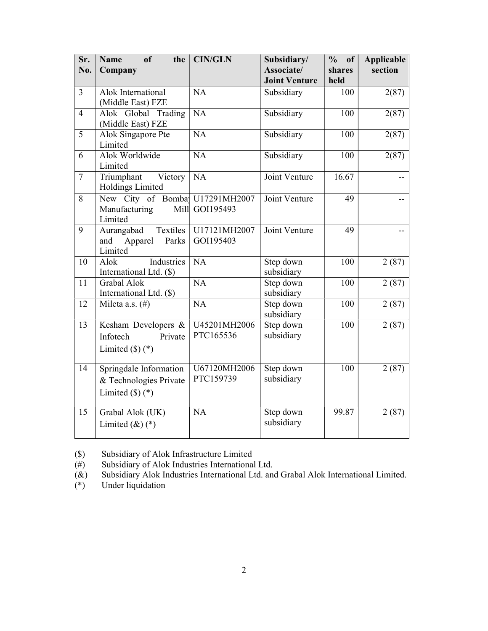| Sr.<br>No.     | <sub>of</sub><br><b>Name</b><br>the<br>Company                                    | <b>CIN/GLN</b>            | Subsidiary/<br>Associate/ | $\frac{0}{0}$<br>of<br>shares | <b>Applicable</b><br>section |
|----------------|-----------------------------------------------------------------------------------|---------------------------|---------------------------|-------------------------------|------------------------------|
|                |                                                                                   |                           | <b>Joint Venture</b>      | held                          |                              |
| $\overline{3}$ | Alok International<br>(Middle East) FZE                                           | NA                        | Subsidiary                | 100                           | 2(87)                        |
| $\overline{4}$ | Alok Global Trading<br>(Middle East) FZE                                          | NA                        | Subsidiary                | 100                           | 2(87)                        |
| $\overline{5}$ | Alok Singapore Pte<br>Limited                                                     | $\overline{NA}$           | Subsidiary                | 100                           | 2(87)                        |
| 6              | Alok Worldwide<br>Limited                                                         | $\overline{NA}$           | Subsidiary                | 100                           | 2(87)                        |
| $\overline{7}$ | Victory<br>Triumphant<br>Holdings Limited                                         | NA                        | Joint Venture             | 16.67                         |                              |
| 8              | New City of Bomba U17291MH2007<br>Manufacturing<br>Limited                        | Mill GOI195493            | Joint Venture             | 49                            |                              |
| 9              | Aurangabad<br>Textiles<br>Apparel<br>Parks<br>and<br>Limited                      | U17121MH2007<br>GOI195403 | Joint Venture             | 49                            |                              |
| 10             | Industries<br>Alok<br>International Ltd. (\$)                                     | $\overline{NA}$           | Step down<br>subsidiary   | 100                           | 2(87)                        |
| 11             | Grabal Alok<br>International Ltd. (\$)                                            | $\overline{NA}$           | Step down<br>subsidiary   | 100                           | 2(87)                        |
| 12             | Mileta a.s. (#)                                                                   | NA                        | Step down<br>subsidiary   | 100                           | 2(87)                        |
| 13             | Kesham Developers &<br>Infotech<br>Private<br>Limited $(\text{\$})$ $(\text{\$})$ | U45201MH2006<br>PTC165536 | Step down<br>subsidiary   | 100                           | 2(87)                        |
| 14             | Springdale Information<br>& Technologies Private<br>Limited $(\$)$ (*)            | U67120MH2006<br>PTC159739 | Step down<br>subsidiary   | 100                           | $\sqrt{2}$ (87)              |
| 15             | Grabal Alok (UK)<br>Limited $(\&)$ $(*)$                                          | <b>NA</b>                 | Step down<br>subsidiary   | 99.87                         | 2(87)                        |

(\$) Subsidiary of Alok Infrastructure Limited<br>
(#) Subsidiary of Alok Industries International

( $\psi$ )<br>
( $\theta$ ) Subsidiary of Alok Industries International Ltd.<br>
( $\&$ ) Subsidiary Alok Industries International Ltd. and ( $\&$ ) Subsidiary Alok Industries International Ltd. and Grabal Alok International Limited.<br>
(\*) Under liquidation

Under liquidation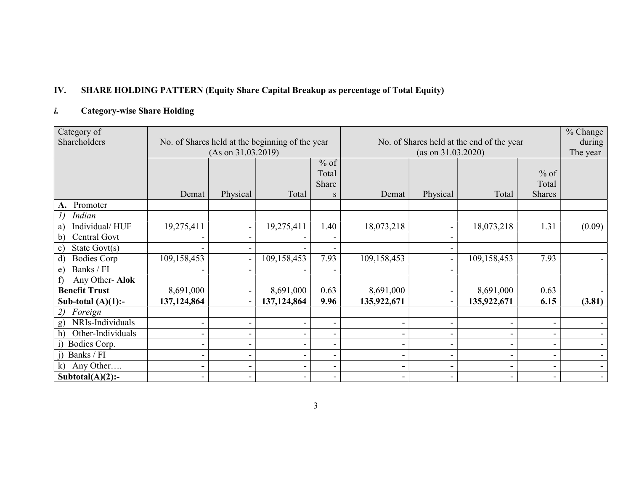# IV. SHARE HOLDING PATTERN (Equity Share Capital Breakup as percentage of Total Equity)

# i. Category-wise Share Holding

| Category of                        |                          |                          |                                                 |                              |                    |                          |                                           |                          | % Change |
|------------------------------------|--------------------------|--------------------------|-------------------------------------------------|------------------------------|--------------------|--------------------------|-------------------------------------------|--------------------------|----------|
| Shareholders                       |                          |                          | No. of Shares held at the beginning of the year |                              |                    |                          | No. of Shares held at the end of the year |                          | during   |
|                                    |                          | (As on 31.03.2019)       |                                                 |                              | (as on 31.03.2020) |                          |                                           |                          | The year |
|                                    |                          |                          |                                                 | $%$ of                       |                    |                          |                                           |                          |          |
|                                    |                          |                          |                                                 | Total                        |                    |                          |                                           | $%$ of                   |          |
|                                    |                          |                          |                                                 | Share                        |                    |                          |                                           | Total                    |          |
|                                    | Demat                    | Physical                 | Total                                           | S                            | Demat              | Physical                 | Total                                     | <b>Shares</b>            |          |
| Promoter<br>А.                     |                          |                          |                                                 |                              |                    |                          |                                           |                          |          |
| Indian<br>$\iota$                  |                          |                          |                                                 |                              |                    |                          |                                           |                          |          |
| Individual/HUF<br>a)               | 19,275,411               | $\blacksquare$           | 19,275,411                                      | 1.40                         | 18,073,218         |                          | 18,073,218                                | 1.31                     | (0.09)   |
| Central Govt<br>b)                 |                          | $\overline{\phantom{a}}$ |                                                 |                              |                    |                          |                                           |                          |          |
| State Govt(s)<br>$\mathbf{c})$     |                          | $\overline{\phantom{a}}$ |                                                 |                              |                    |                          |                                           |                          |          |
| $\mathbf{d}$<br><b>Bodies Corp</b> | 109,158,453              | $\blacksquare$           | 109,158,453                                     | 7.93                         | 109,158,453        |                          | 109,158,453                               | 7.93                     |          |
| Banks / FI<br>e)                   | $\overline{\phantom{a}}$ | $\blacksquare$           |                                                 |                              |                    |                          |                                           |                          |          |
| Any Other-Alok<br>f)               |                          |                          |                                                 |                              |                    |                          |                                           |                          |          |
| <b>Benefit Trust</b>               | 8,691,000                | $\blacksquare$           | 8,691,000                                       | 0.63                         | 8,691,000          |                          | 8,691,000                                 | 0.63                     |          |
| Sub-total $(A)(1)$ :-              | 137,124,864              | $\blacksquare$           | 137,124,864                                     | 9.96                         | 135,922,671        | $\overline{\phantom{a}}$ | 135,922,671                               | 6.15                     | (3.81)   |
| Foreign<br>2)                      |                          |                          |                                                 |                              |                    |                          |                                           |                          |          |
| NRIs-Individuals<br>g)             | $\blacksquare$           | $\overline{\phantom{a}}$ |                                                 |                              |                    |                          |                                           |                          |          |
| Other-Individuals<br>h)            | $\overline{\phantom{a}}$ | $\overline{\phantom{a}}$ |                                                 |                              |                    |                          |                                           |                          |          |
| Bodies Corp.<br>$\bf{1)}$          | $\overline{\phantom{a}}$ | $\overline{\phantom{a}}$ |                                                 |                              |                    |                          |                                           |                          |          |
| Banks / FI                         | $\blacksquare$           | $\blacksquare$           |                                                 | $\overline{\phantom{0}}$     |                    |                          |                                           |                          |          |
| Any Other<br>k)                    | $\blacksquare$           | ۰                        | -                                               | $\qquad \qquad \blacksquare$ |                    |                          |                                           | $\overline{\phantom{0}}$ |          |
| Subtotal $(A)(2)$ :-               |                          | $\blacksquare$           |                                                 | $\overline{\phantom{a}}$     |                    |                          |                                           | $\overline{\phantom{0}}$ |          |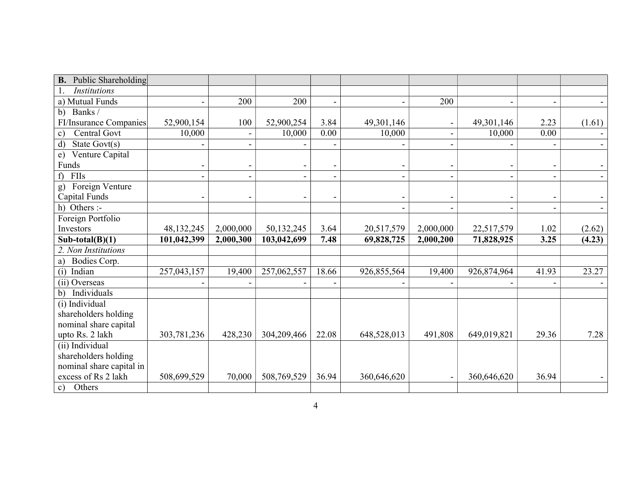| <b>B.</b> Public Shareholding       |              |                          |             |       |             |                              |             |                          |                          |
|-------------------------------------|--------------|--------------------------|-------------|-------|-------------|------------------------------|-------------|--------------------------|--------------------------|
| <b>Institutions</b>                 |              |                          |             |       |             |                              |             |                          |                          |
| a) Mutual Funds                     |              | 200                      | 200         |       |             | 200                          |             | $\overline{\phantom{a}}$ |                          |
| Banks/<br>b)                        |              |                          |             |       |             |                              |             |                          |                          |
| FI/Insurance Companies              | 52,900,154   | 100                      | 52,900,254  | 3.84  | 49,301,146  |                              | 49,301,146  | 2.23                     | (1.61)                   |
| Central Govt<br>$\mathbf{c})$       | 10,000       | $\blacksquare$           | 10,000      | 0.00  | 10,000      |                              | 10,000      | 0.00                     |                          |
| State $Govt(s)$<br>$\mathbf{d}$     |              |                          |             |       |             |                              |             |                          |                          |
| Venture Capital<br>e)               |              |                          |             |       |             |                              |             |                          |                          |
| Funds                               |              | $\overline{\phantom{0}}$ |             |       |             |                              |             | $\overline{\phantom{a}}$ |                          |
| FIIs<br>f                           |              | $\overline{\phantom{a}}$ |             |       |             |                              |             |                          |                          |
| Foreign Venture<br>g)               |              |                          |             |       |             |                              |             |                          |                          |
| Capital Funds                       |              |                          |             |       |             |                              |             |                          |                          |
| h) Others :-                        |              |                          |             |       |             | $\qquad \qquad \blacksquare$ |             | $\overline{\phantom{a}}$ | $\overline{\phantom{0}}$ |
| Foreign Portfolio                   |              |                          |             |       |             |                              |             |                          |                          |
| Investors                           | 48, 132, 245 | 2,000,000                | 50,132,245  | 3.64  | 20,517,579  | 2,000,000                    | 22,517,579  | 1.02                     | (2.62)                   |
| Sub-total $(B)(1)$                  | 101,042,399  | 2,000,300                | 103,042,699 | 7.48  | 69,828,725  | 2,000,200                    | 71,828,925  | 3.25                     | (4.23)                   |
| 2. Non Institutions                 |              |                          |             |       |             |                              |             |                          |                          |
| Bodies Corp.<br>a)                  |              |                          |             |       |             |                              |             |                          |                          |
| (i) Indian                          | 257,043,157  | 19,400                   | 257,062,557 | 18.66 | 926,855,564 | 19,400                       | 926,874,964 | 41.93                    | 23.27                    |
| (ii) Overseas                       |              |                          |             |       |             |                              |             |                          |                          |
| b) Individuals                      |              |                          |             |       |             |                              |             |                          |                          |
|                                     |              |                          |             |       |             |                              |             |                          |                          |
| (i) Individual                      |              |                          |             |       |             |                              |             |                          |                          |
| shareholders holding                |              |                          |             |       |             |                              |             |                          |                          |
| nominal share capital               |              |                          |             |       |             |                              |             |                          |                          |
| upto Rs. 2 lakh                     | 303,781,236  | 428,230                  | 304,209,466 | 22.08 | 648,528,013 | 491,808                      | 649,019,821 | 29.36                    | 7.28                     |
| (ii) Individual                     |              |                          |             |       |             |                              |             |                          |                          |
| shareholders holding                |              |                          |             |       |             |                              |             |                          |                          |
| nominal share capital in            |              |                          |             |       |             |                              |             |                          |                          |
| excess of Rs 2 lakh<br>Others<br>c) | 508,699,529  | 70,000                   | 508,769,529 | 36.94 | 360,646,620 |                              | 360,646,620 | 36.94                    |                          |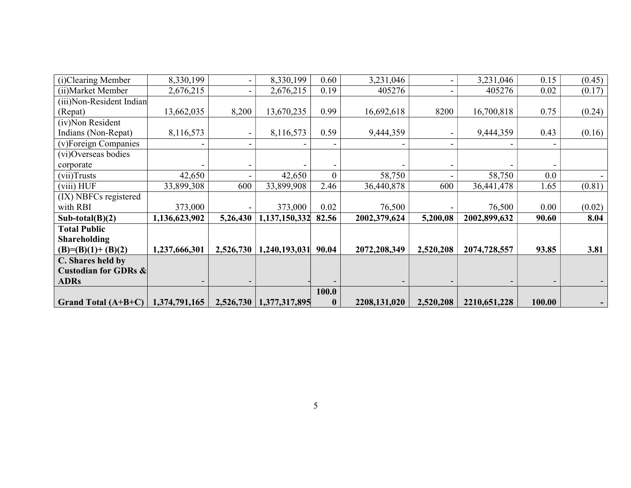| (i)Clearing Member              | 8,330,199     |                          | 8,330,199     | 0.60           | 3,231,046    |           | 3,231,046    | 0.15   | (0.45) |
|---------------------------------|---------------|--------------------------|---------------|----------------|--------------|-----------|--------------|--------|--------|
| (ii) Market Member              | 2,676,215     |                          | 2,676,215     | 0.19           | 405276       |           | 405276       | 0.02   | (0.17) |
| (iii)Non-Resident Indian        |               |                          |               |                |              |           |              |        |        |
| (Repat)                         | 13,662,035    | 8,200                    | 13,670,235    | 0.99           | 16,692,618   | 8200      | 16,700,818   | 0.75   | (0.24) |
| (iv)Non Resident                |               |                          |               |                |              |           |              |        |        |
| Indians (Non-Repat)             | 8,116,573     |                          | 8,116,573     | 0.59           | 9,444,359    |           | 9,444,359    | 0.43   | (0.16) |
| (v)Foreign Companies            |               | $\overline{\phantom{0}}$ |               |                |              |           |              |        |        |
| (vi)Overseas bodies             |               |                          |               |                |              |           |              |        |        |
| corporate                       |               |                          |               |                |              |           |              |        |        |
| $(vii)$ Trusts                  | 42,650        | $\overline{\phantom{a}}$ | 42,650        | $\overline{0}$ | 58,750       |           | 58,750       | 0.0    |        |
| (viii) HUF                      | 33,899,308    | 600                      | 33,899,908    | 2.46           | 36,440,878   | 600       | 36,441,478   | 1.65   | (0.81) |
| (IX) NBFCs registered           |               |                          |               |                |              |           |              |        |        |
| with RBI                        | 373,000       |                          | 373,000       | 0.02           | 76,500       |           | 76,500       | 0.00   | (0.02) |
| Sub-total $(B)(2)$              | 1,136,623,902 | 5,26,430                 | 1,137,150,332 | 82.56          | 2002,379,624 | 5,200,08  | 2002,899,632 | 90.60  | 8.04   |
| <b>Total Public</b>             |               |                          |               |                |              |           |              |        |        |
| <b>Shareholding</b>             |               |                          |               |                |              |           |              |        |        |
| $(B)= (B)(1)+(B)(2)$            | 1,237,666,301 | 2,526,730                | 1,240,193,031 | 90.04          | 2072,208,349 | 2,520,208 | 2074,728,557 | 93.85  | 3.81   |
| C. Shares held by               |               |                          |               |                |              |           |              |        |        |
| <b>Custodian for GDRs &amp;</b> |               |                          |               |                |              |           |              |        |        |
| <b>ADRs</b>                     |               |                          |               |                |              |           |              |        |        |
|                                 |               |                          |               | 100.0          |              |           |              |        |        |
| Grand Total $(A+B+C)$           | 1,374,791,165 | 2,526,730                | 1,377,317,895 | $\bf{0}$       | 2208,131,020 | 2,520,208 | 2210,651,228 | 100.00 |        |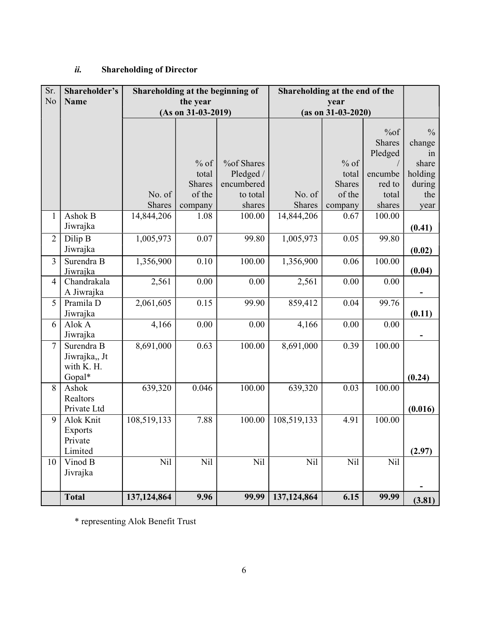# ii. Shareholding of Director

| Sr.            | Shareholder's                             |               |                      | Shareholding at the beginning of | Shareholding at the end of the |                      |               |               |
|----------------|-------------------------------------------|---------------|----------------------|----------------------------------|--------------------------------|----------------------|---------------|---------------|
| No             | <b>Name</b>                               |               | the year             |                                  |                                | year                 |               |               |
|                |                                           |               | $(As on 31-03-2019)$ |                                  |                                | $(as on 31-03-2020)$ |               |               |
|                |                                           |               |                      |                                  |                                |                      | % of          | $\frac{0}{0}$ |
|                |                                           |               |                      |                                  |                                |                      | <b>Shares</b> | change        |
|                |                                           |               | $%$ of               | <b>%of Shares</b>                |                                | $%$ of               | Pledged       | in<br>share   |
|                |                                           |               | total                | Pledged /                        |                                | total                | encumbe       | holding       |
|                |                                           |               | <b>Shares</b>        | encumbered                       |                                | <b>Shares</b>        | red to        | during        |
|                |                                           | No. of        | of the               | to total                         | No. of                         | of the               | total         | the           |
|                |                                           | <b>Shares</b> | company              | shares                           | <b>Shares</b>                  | company              | shares        | year          |
| $\mathbf{1}$   | Ashok B                                   | 14,844,206    | 1.08                 | 100.00                           | 14,844,206                     | 0.67                 | 100.00        |               |
|                | Jiwrajka                                  |               |                      |                                  |                                |                      |               | (0.41)        |
| $\overline{2}$ | Dilip B                                   | 1,005,973     | 0.07                 | 99.80                            | 1,005,973                      | 0.05                 | 99.80         |               |
|                | Jiwrajka                                  |               |                      |                                  |                                |                      |               | (0.02)        |
| 3              | Surendra B<br>Jiwrajka                    | 1,356,900     | 0.10                 | 100.00                           | 1,356,900                      | 0.06                 | 100.00        | (0.04)        |
| $\overline{4}$ | Chandrakala                               | 2,561         | 0.00                 | 0.00                             | 2,561                          | 0.00                 | 0.00          |               |
|                | A Jiwrajka                                |               |                      |                                  |                                |                      |               |               |
| $\overline{5}$ | Pramila D<br>Jiwrajka                     | 2,061,605     | 0.15                 | 99.90                            | 859,412                        | 0.04                 | 99.76         | (0.11)        |
| 6              | Alok A<br>Jiwrajka                        | 4,166         | 0.00                 | 0.00                             | 4,166                          | 0.00                 | 0.00          |               |
| $\overline{7}$ | Surendra B<br>Jiwrajka,, Jt<br>with K. H. | 8,691,000     | 0.63                 | 100.00                           | 8,691,000                      | 0.39                 | 100.00        |               |
|                | Gopal*                                    |               |                      |                                  |                                |                      |               | (0.24)        |
| 8              | Ashok<br>Realtors                         | 639,320       | 0.046                | 100.00                           | 639,320                        | 0.03                 | 100.00        |               |
|                | Private Ltd                               |               |                      |                                  |                                |                      |               | (0.016)       |
| 9              | Alok Knit<br>Exports<br>Private           | 108,519,133   | 7.88                 | 100.00                           | 108,519,133                    | 4.91                 | 100.00        |               |
|                | Limited                                   |               |                      |                                  |                                |                      |               | (2.97)        |
| 10             | Vinod B<br>Jivrajka                       | Nil           | Nil                  | Nil                              | Nil                            | Nil                  | Nil           |               |
|                | <b>Total</b>                              | 137,124,864   | 9.96                 | 99.99                            | 137,124,864                    | 6.15                 | 99.99         | (3.81)        |

\* representing Alok Benefit Trust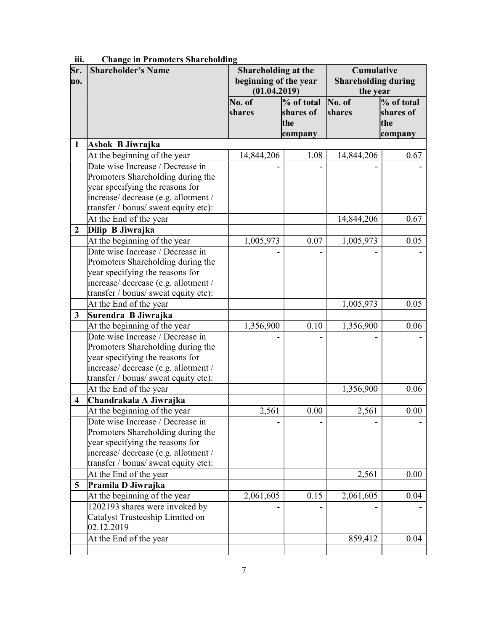| Sr.<br>no.              | <b>Shareholder's Name</b>                                        | Shareholding at the<br>beginning of the year<br>(01.04.2019) |                                           | <b>Cumulative</b><br><b>Shareholding during</b><br>the year |                                           |
|-------------------------|------------------------------------------------------------------|--------------------------------------------------------------|-------------------------------------------|-------------------------------------------------------------|-------------------------------------------|
|                         |                                                                  | No. of<br>shares                                             | % of total<br>shares of<br>the<br>company | $\bf{No. of}$<br>shares                                     | % of total<br>shares of<br>the<br>company |
| $\mathbf{1}$            | Ashok B Jiwrajka                                                 |                                                              |                                           |                                                             |                                           |
|                         | At the beginning of the year                                     | 14,844,206                                                   | 1.08                                      | 14,844,206                                                  | 0.67                                      |
|                         | Date wise Increase / Decrease in                                 |                                                              |                                           |                                                             |                                           |
|                         | Promoters Shareholding during the                                |                                                              |                                           |                                                             |                                           |
|                         | year specifying the reasons for                                  |                                                              |                                           |                                                             |                                           |
|                         | increase/ decrease (e.g. allotment /                             |                                                              |                                           |                                                             |                                           |
|                         | transfer / bonus/ sweat equity etc):                             |                                                              |                                           |                                                             |                                           |
|                         | At the End of the year                                           |                                                              |                                           | 14,844,206                                                  | 0.67                                      |
| $\boldsymbol{2}$        | Dilip B Jiwrajka                                                 |                                                              |                                           |                                                             |                                           |
|                         | At the beginning of the year                                     | 1,005,973                                                    | 0.07                                      | 1,005,973                                                   | 0.05                                      |
|                         | Date wise Increase / Decrease in                                 |                                                              |                                           |                                                             |                                           |
|                         | Promoters Shareholding during the                                |                                                              |                                           |                                                             |                                           |
|                         | year specifying the reasons for                                  |                                                              |                                           |                                                             |                                           |
|                         | increase/ decrease (e.g. allotment /                             |                                                              |                                           |                                                             |                                           |
|                         | transfer / bonus/ sweat equity etc):                             |                                                              |                                           |                                                             |                                           |
|                         | At the End of the year                                           |                                                              |                                           | 1,005,973                                                   | 0.05                                      |
| $\mathbf{3}$            | Surendra B Jiwrajka                                              |                                                              |                                           |                                                             |                                           |
|                         | At the beginning of the year                                     | 1,356,900                                                    | 0.10                                      | 1,356,900                                                   | 0.06                                      |
|                         | Date wise Increase / Decrease in                                 |                                                              |                                           |                                                             |                                           |
|                         | Promoters Shareholding during the                                |                                                              |                                           |                                                             |                                           |
|                         | year specifying the reasons for                                  |                                                              |                                           |                                                             |                                           |
|                         | increase/ decrease (e.g. allotment /                             |                                                              |                                           |                                                             |                                           |
|                         | transfer / bonus/ sweat equity etc):                             |                                                              |                                           |                                                             |                                           |
|                         | At the End of the year                                           |                                                              |                                           | 1,356,900                                                   | 0.06                                      |
| $\overline{\mathbf{4}}$ | Chandrakala A Jiwrajka                                           |                                                              |                                           |                                                             |                                           |
|                         | At the beginning of the year<br>Date wise Increase / Decrease in | 2,561                                                        | 0.00                                      | 2,561                                                       | 0.00                                      |
|                         | Promoters Shareholding during the                                |                                                              |                                           |                                                             |                                           |
|                         | year specifying the reasons for                                  |                                                              |                                           |                                                             |                                           |
|                         | increase/ decrease (e.g. allotment /                             |                                                              |                                           |                                                             |                                           |
|                         | transfer / bonus/ sweat equity etc):                             |                                                              |                                           |                                                             |                                           |
|                         | At the End of the year                                           |                                                              |                                           | 2,561                                                       | 0.00                                      |
| 5                       | Pramila D Jiwrajka                                               |                                                              |                                           |                                                             |                                           |
|                         | At the beginning of the year                                     | 2,061,605                                                    | 0.15                                      | 2,061,605                                                   | 0.04                                      |
|                         | 1202193 shares were invoked by                                   |                                                              |                                           |                                                             |                                           |
|                         | Catalyst Trusteeship Limited on                                  |                                                              |                                           |                                                             |                                           |
|                         | 02.12.2019                                                       |                                                              |                                           |                                                             |                                           |
|                         | At the End of the year                                           |                                                              |                                           | 859,412                                                     | 0.04                                      |
|                         |                                                                  |                                                              |                                           |                                                             |                                           |

iii. Change in Promoters Shareholding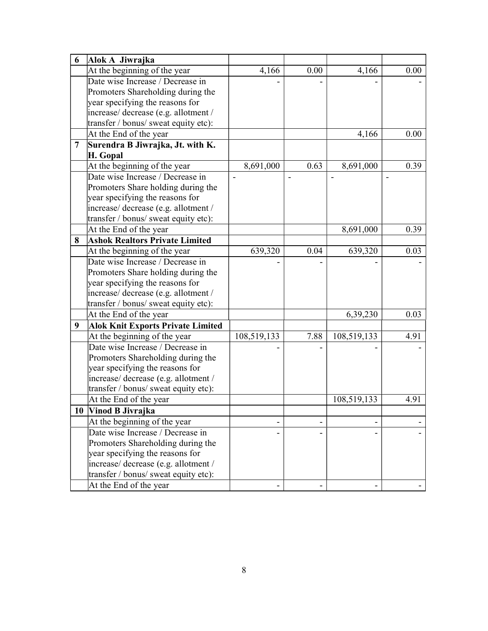| 6              | Alok A Jiwrajka                          |             |      |             |      |
|----------------|------------------------------------------|-------------|------|-------------|------|
|                | At the beginning of the year             | 4,166       | 0.00 | 4,166       | 0.00 |
|                | Date wise Increase / Decrease in         |             |      |             |      |
|                | Promoters Shareholding during the        |             |      |             |      |
|                | year specifying the reasons for          |             |      |             |      |
|                | increase/ decrease (e.g. allotment /     |             |      |             |      |
|                | transfer / bonus/ sweat equity etc):     |             |      |             |      |
|                | At the End of the year                   |             |      | 4,166       | 0.00 |
| $\overline{7}$ | Surendra B Jiwrajka, Jt. with K.         |             |      |             |      |
|                | H. Gopal                                 |             |      |             |      |
|                | At the beginning of the year             | 8,691,000   | 0.63 | 8,691,000   | 0.39 |
|                | Date wise Increase / Decrease in         |             |      |             |      |
|                | Promoters Share holding during the       |             |      |             |      |
|                | year specifying the reasons for          |             |      |             |      |
|                | increase/ decrease (e.g. allotment /     |             |      |             |      |
|                | transfer / bonus/ sweat equity etc):     |             |      |             |      |
|                | At the End of the year                   |             |      | 8,691,000   | 0.39 |
| 8              | <b>Ashok Realtors Private Limited</b>    |             |      |             |      |
|                | At the beginning of the year             | 639,320     | 0.04 | 639,320     | 0.03 |
|                | Date wise Increase / Decrease in         |             |      |             |      |
|                | Promoters Share holding during the       |             |      |             |      |
|                | year specifying the reasons for          |             |      |             |      |
|                | increase/ decrease (e.g. allotment /     |             |      |             |      |
|                | transfer / bonus/ sweat equity etc):     |             |      |             |      |
|                | At the End of the year                   |             |      | 6,39,230    | 0.03 |
| 9              | <b>Alok Knit Exports Private Limited</b> |             |      |             |      |
|                | At the beginning of the year             | 108,519,133 | 7.88 | 108,519,133 | 4.91 |
|                | Date wise Increase / Decrease in         |             |      |             |      |
|                | Promoters Shareholding during the        |             |      |             |      |
|                | year specifying the reasons for          |             |      |             |      |
|                | increase/ decrease (e.g. allotment /     |             |      |             |      |
|                | transfer / bonus/ sweat equity etc):     |             |      |             |      |
|                | At the End of the year                   |             |      | 108,519,133 | 4.91 |
| 10             | Vinod B Jivrajka                         |             |      |             |      |
|                | At the beginning of the year             |             |      |             |      |
|                | Date wise Increase / Decrease in         |             |      |             |      |
|                | Promoters Shareholding during the        |             |      |             |      |
|                | year specifying the reasons for          |             |      |             |      |
|                | increase/ decrease (e.g. allotment /     |             |      |             |      |
|                | transfer / bonus/ sweat equity etc):     |             |      |             |      |
|                | At the End of the year                   |             |      |             |      |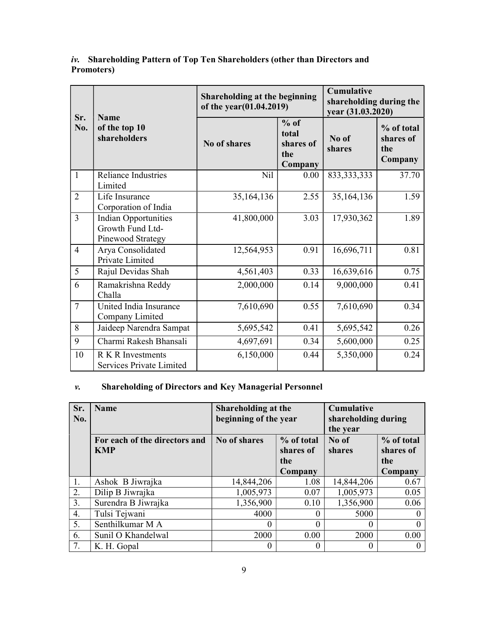# iv. Shareholding Pattern of Top Ten Shareholders (other than Directors and Promoters)

| Sr.            | <b>Name</b>                                                          |              | Shareholding at the beginning<br>of the year(01.04.2019) |                 |                                           |  |  |
|----------------|----------------------------------------------------------------------|--------------|----------------------------------------------------------|-----------------|-------------------------------------------|--|--|
| No.            | of the top 10<br>shareholders                                        | No of shares | $%$ of<br>total<br>shares of<br>the<br>Company           | No of<br>shares | % of total<br>shares of<br>the<br>Company |  |  |
| $\mathbf{1}$   | Reliance Industries<br>Limited                                       | <b>Nil</b>   | 0.00                                                     | 833, 333, 333   | 37.70                                     |  |  |
| $\overline{2}$ | Life Insurance<br>Corporation of India                               | 35,164,136   | 2.55                                                     | 35,164,136      | 1.59                                      |  |  |
| $\overline{3}$ | <b>Indian Opportunities</b><br>Growth Fund Ltd-<br>Pinewood Strategy | 41,800,000   | 3.03                                                     | 17,930,362      | 1.89                                      |  |  |
| $\overline{4}$ | Arya Consolidated<br>Private Limited                                 | 12,564,953   | 0.91                                                     | 16,696,711      | 0.81                                      |  |  |
| $\overline{5}$ | Rajul Devidas Shah                                                   | 4,561,403    | 0.33                                                     | 16,639,616      | 0.75                                      |  |  |
| 6              | Ramakrishna Reddy<br>Challa                                          | 2,000,000    | 0.14                                                     | 9,000,000       | 0.41                                      |  |  |
| $\overline{7}$ | United India Insurance<br>Company Limited                            | 7,610,690    | 0.55                                                     | 7,610,690       | 0.34                                      |  |  |
| 8              | Jaideep Narendra Sampat                                              | 5,695,542    | 0.41                                                     | 5,695,542       | 0.26                                      |  |  |
| 9              | Charmi Rakesh Bhansali                                               | 4,697,691    | 0.34                                                     | 5,600,000       | 0.25                                      |  |  |
| 10             | <b>R</b> K R Investments<br>Services Private Limited                 | 6,150,000    | 0.44                                                     | 5,350,000       | 0.24                                      |  |  |

# v. Shareholding of Directors and Key Managerial Personnel

| Sr. | <b>Name</b>                   | Shareholding at the   |            | Cumulative          |            |  |
|-----|-------------------------------|-----------------------|------------|---------------------|------------|--|
| No. |                               | beginning of the year |            | shareholding during |            |  |
|     |                               |                       |            | the year            |            |  |
|     | For each of the directors and | No of shares          | % of total | No of               | % of total |  |
|     | <b>KMP</b>                    |                       | shares of  | shares              | shares of  |  |
|     |                               |                       | the        |                     | the        |  |
|     |                               |                       | Company    |                     | Company    |  |
| 1.  | Ashok B Jiwrajka              | 14,844,206            | 1.08       | 14,844,206          | 0.67       |  |
| 2.  | Dilip B Jiwrajka              | 1,005,973             | 0.07       | 1,005,973           | 0.05       |  |
| 3.  | Surendra B Jiwrajka           | 1,356,900             | 0.10       | 1,356,900           | 0.06       |  |
| 4.  | Tulsi Tejwani                 | 4000                  | 0          | 5000                |            |  |
| 5.  | Senthilkumar M A              | 0                     | 0          |                     |            |  |
| 6.  | Sunil O Khandelwal            | 2000                  | 0.00       | 2000                | 0.00       |  |
| 7.  | K. H. Gopal                   | 0                     | $\theta$   |                     |            |  |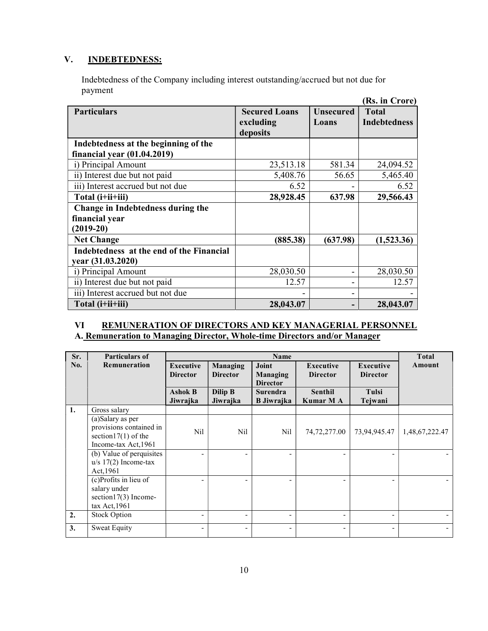# V. INDEBTEDNESS:

Indebtedness of the Company including interest outstanding/accrued but not due for payment

|                                          |                      |                  | (Rs. in Crore)      |
|------------------------------------------|----------------------|------------------|---------------------|
| <b>Particulars</b>                       | <b>Secured Loans</b> | <b>Unsecured</b> | <b>Total</b>        |
|                                          | excluding            | Loans            | <b>Indebtedness</b> |
|                                          | deposits             |                  |                     |
| Indebtedness at the beginning of the     |                      |                  |                     |
| financial year (01.04.2019)              |                      |                  |                     |
| i) Principal Amount                      | 23,513.18            | 581.34           | 24,094.52           |
| ii) Interest due but not paid            | 5,408.76             | 56.65            | 5,465.40            |
| iii) Interest accrued but not due        | 6.52                 |                  | 6.52                |
| Total (i+ii+iii)                         | 28,928.45            | 637.98           | 29,566.43           |
| Change in Indebtedness during the        |                      |                  |                     |
| financial year                           |                      |                  |                     |
| $(2019-20)$                              |                      |                  |                     |
| <b>Net Change</b>                        | (885.38)             | (637.98)         | (1,523.36)          |
| Indebtedness at the end of the Financial |                      |                  |                     |
| year (31.03.2020)                        |                      |                  |                     |
| i) Principal Amount                      | 28,030.50            |                  | 28,030.50           |
| ii) Interest due but not paid            | 12.57                |                  | 12.57               |
| iii) Interest accrued but not due        |                      |                  |                     |
| Total (i+ii+iii)                         | 28,043.07            |                  | 28,043.07           |

#### VI REMUNERATION OF DIRECTORS AND KEY MANAGERIAL PERSONNEL A. Remuneration to Managing Director, Whole-time Directors and/or Manager

| Sr. | <b>Particulars of</b>                                                                         | <b>Name</b>                         |                             |                                             |                                     |                              | <b>Total</b>             |
|-----|-----------------------------------------------------------------------------------------------|-------------------------------------|-----------------------------|---------------------------------------------|-------------------------------------|------------------------------|--------------------------|
| No. | <b>Remuneration</b>                                                                           | <b>Executive</b><br><b>Director</b> | Managing<br><b>Director</b> | Joint<br><b>Managing</b><br><b>Director</b> | <b>Executive</b><br><b>Director</b> | Executive<br><b>Director</b> | Amount                   |
|     |                                                                                               | <b>Ashok B</b><br>Jiwrajka          | Dilip B<br>Jiwrajka         | <b>Surendra</b><br><b>B</b> Jiwrajka        | Senthil<br>Kumar M A                | Tulsi<br>Tejwani             |                          |
| 1.  | Gross salary                                                                                  |                                     |                             |                                             |                                     |                              |                          |
|     | (a)Salary as per<br>provisions contained in<br>section $17(1)$ of the<br>Income-tax Act, 1961 | Nil                                 | N <sub>il</sub>             | Nil                                         | 74,72,277.00                        | 73,94,945.47                 | 1,48,67,222.47           |
|     | (b) Value of perquisites<br>$u/s$ 17(2) Income-tax<br>Act, 1961                               | $\overline{\phantom{0}}$            | $\overline{\phantom{a}}$    |                                             |                                     |                              |                          |
|     | (c)Profits in lieu of<br>salary under<br>section17(3) Income-<br>$tax$ Act, 1961              | $\overline{\phantom{0}}$            |                             |                                             |                                     |                              |                          |
| 2.  | <b>Stock Option</b>                                                                           | -                                   | $\overline{\phantom{a}}$    | -                                           | $\overline{\phantom{a}}$            | $\overline{\phantom{a}}$     | $\overline{\phantom{a}}$ |
| 3.  | <b>Sweat Equity</b>                                                                           | -                                   | $\overline{\phantom{a}}$    |                                             | $\overline{\phantom{a}}$            |                              | -                        |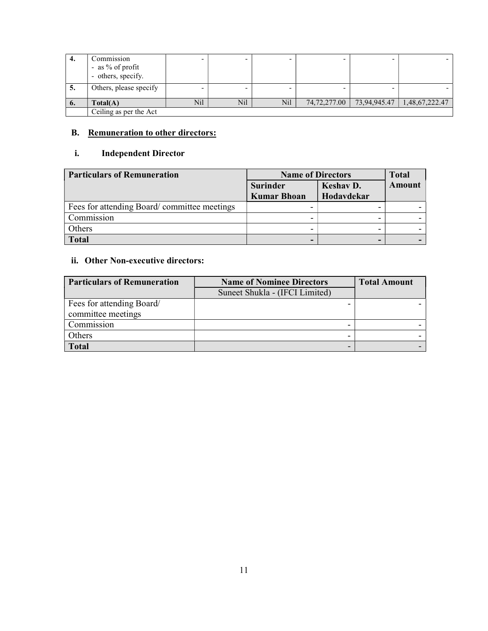| 4. | Commission<br>- as % of profit<br>- others, specify. |     |     |     |              |              | $\overline{\phantom{0}}$ |
|----|------------------------------------------------------|-----|-----|-----|--------------|--------------|--------------------------|
| C. | Others, please specify                               |     |     |     |              |              |                          |
| 6. | Total(A)                                             | Nil | Nil | Nil | 74,72,277.00 | 73,94,945.47 | 1,48,67,222.47           |
|    | Ceiling as per the Act                               |     |     |     |              |              |                          |

# B. Remuneration to other directors:

# i. Independent Director

| <b>Particulars of Remuneration</b>          | <b>Name of Directors</b>              |                         | <b>Total</b> |
|---------------------------------------------|---------------------------------------|-------------------------|--------------|
|                                             | <b>Surinder</b><br><b>Kumar Bhoan</b> | Keshav D.<br>Hodavdekar | Amount       |
| Fees for attending Board/committee meetings |                                       |                         |              |
| Commission                                  |                                       |                         |              |
| Others                                      |                                       | -                       |              |
| <b>Total</b>                                |                                       |                         |              |

# ii. Other Non-executive directors:

| <b>Particulars of Remuneration</b> | <b>Name of Nominee Directors</b> | <b>Total Amount</b> |
|------------------------------------|----------------------------------|---------------------|
|                                    | Suneet Shukla - (IFCI Limited)   |                     |
| Fees for attending Board/          |                                  |                     |
| committee meetings                 |                                  |                     |
| Commission                         |                                  |                     |
| Others                             |                                  |                     |
| <b>Total</b>                       |                                  |                     |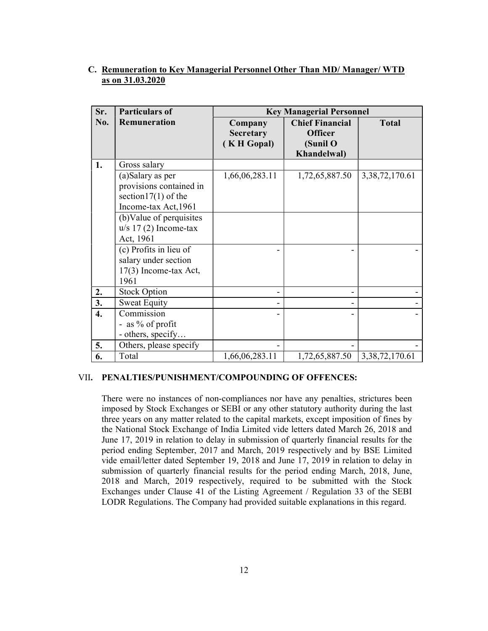| Sr. | <b>Particulars of</b>                                                                                                                                                                                                                                | <b>Key Managerial Personnel</b>                 |                                                                     |                    |  |  |
|-----|------------------------------------------------------------------------------------------------------------------------------------------------------------------------------------------------------------------------------------------------------|-------------------------------------------------|---------------------------------------------------------------------|--------------------|--|--|
| No. | Remuneration                                                                                                                                                                                                                                         | Company<br><b>Secretary</b><br><b>KH</b> Gopal) | <b>Chief Financial</b><br><b>Officer</b><br>(Sunil O<br>Khandelwal) | <b>Total</b>       |  |  |
| 1.  | Gross salary                                                                                                                                                                                                                                         |                                                 |                                                                     |                    |  |  |
|     | (a)Salary as per<br>provisions contained in<br>section $17(1)$ of the<br>Income-tax Act, 1961<br>(b) Value of perquisites<br>$u/s$ 17 (2) Income-tax<br>Act, 1961<br>(c) Profits in lieu of<br>salary under section<br>17(3) Income-tax Act,<br>1961 | 1,66,06,283.11                                  | 1,72,65,887.50                                                      | 3, 38, 72, 170. 61 |  |  |
| 2.  | <b>Stock Option</b>                                                                                                                                                                                                                                  |                                                 |                                                                     |                    |  |  |
| 3.  | <b>Sweat Equity</b>                                                                                                                                                                                                                                  |                                                 |                                                                     |                    |  |  |
| 4.  | Commission<br>- as % of profit<br>- others, specify                                                                                                                                                                                                  |                                                 |                                                                     |                    |  |  |
| 5.  | Others, please specify                                                                                                                                                                                                                               |                                                 |                                                                     |                    |  |  |
| 6.  | Total                                                                                                                                                                                                                                                | 1,66,06,283.11                                  | 1,72,65,887.50                                                      | 3, 38, 72, 170. 61 |  |  |

#### C. Remuneration to Key Managerial Personnel Other Than MD/ Manager/ WTD as on 31.03.2020

#### VII. PENALTIES/PUNISHMENT/COMPOUNDING OF OFFENCES:

There were no instances of non-compliances nor have any penalties, strictures been imposed by Stock Exchanges or SEBI or any other statutory authority during the last three years on any matter related to the capital markets, except imposition of fines by the National Stock Exchange of India Limited vide letters dated March 26, 2018 and June 17, 2019 in relation to delay in submission of quarterly financial results for the period ending September, 2017 and March, 2019 respectively and by BSE Limited vide email/letter dated September 19, 2018 and June 17, 2019 in relation to delay in submission of quarterly financial results for the period ending March, 2018, June, 2018 and March, 2019 respectively, required to be submitted with the Stock Exchanges under Clause 41 of the Listing Agreement / Regulation 33 of the SEBI LODR Regulations. The Company had provided suitable explanations in this regard.